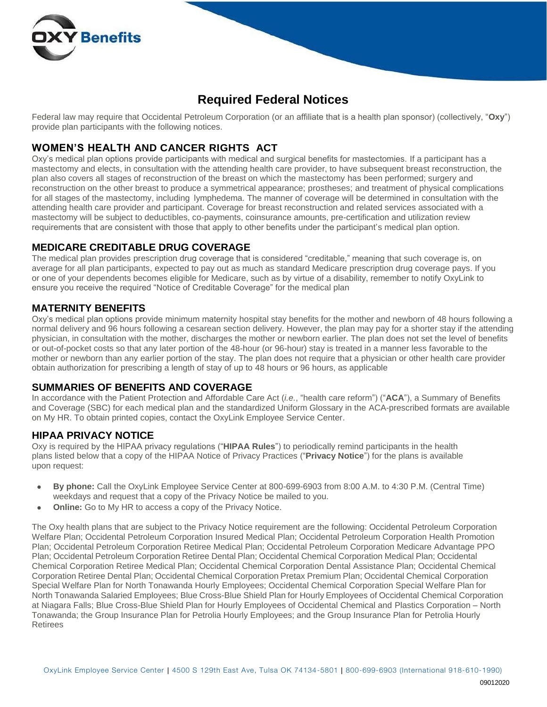

# **Required Federal Notices**

Federal law may require that Occidental Petroleum Corporation (or an affiliate that is a health plan sponsor) (collectively, "**Oxy**") provide plan participants with the following notices.

### **WOMEN'S HEALTH AND CANCER RIGHTS ACT**

Oxy's medical plan options provide participants with medical and surgical benefits for mastectomies. If a participant has a mastectomy and elects, in consultation with the attending health care provider, to have subsequent breast reconstruction, the plan also covers all stages of reconstruction of the breast on which the mastectomy has been performed; surgery and reconstruction on the other breast to produce a symmetrical appearance; prostheses; and treatment of physical complications for all stages of the mastectomy, including lymphedema. The manner of coverage will be determined in consultation with the attending health care provider and participant. Coverage for breast reconstruction and related services associated with a mastectomy will be subject to deductibles, co-payments, coinsurance amounts, pre-certification and utilization review requirements that are consistent with those that apply to other benefits under the participant's medical plan option.

#### **MEDICARE CREDITABLE DRUG COVERAGE**

The medical plan provides prescription drug coverage that is considered "creditable," meaning that such coverage is, on average for all plan participants, expected to pay out as much as standard Medicare prescription drug coverage pays. If you or one of your dependents becomes eligible for Medicare, such as by virtue of a disability, remember to notify OxyLink to ensure you receive the required "Notice of Creditable Coverage" for the medical plan

#### **MATERNITY BENEFITS**

Oxy's medical plan options provide minimum maternity hospital stay benefits for the mother and newborn of 48 hours following a normal delivery and 96 hours following a cesarean section delivery. However, the plan may pay for a shorter stay if the attending physician, in consultation with the mother, discharges the mother or newborn earlier. The plan does not set the level of benefits or out-of-pocket costs so that any later portion of the 48-hour (or 96-hour) stay is treated in a manner less favorable to the mother or newborn than any earlier portion of the stay. The plan does not require that a physician or other health care provider obtain authorization for prescribing a length of stay of up to 48 hours or 96 hours, as applicable

#### **SUMMARIES OF BENEFITS AND COVERAGE**

In accordance with the Patient Protection and Affordable Care Act (*i.e.*, "health care reform") ("**ACA**"), a Summary of Benefits and Coverage (SBC) for each medical plan and the standardized Uniform Glossary in the ACA-prescribed formats are available on My HR. To obtain printed copies, contact the OxyLink Employee Service Center.

#### **HIPAA PRIVACY NOTICE**

Oxy is required by the HIPAA privacy regulations ("**HIPAA Rules**") to periodically remind participants in the health plans listed below that a copy of the HIPAA Notice of Privacy Practices ("**Privacy Notice**") for the plans is available upon request:

- **By phone:** Call the OxyLink Employee Service Center at 800-699-6903 from 8:00 A.M. to 4:30 P.M. (Central Time) weekdays and request that a copy of the Privacy Notice be mailed to you.
- **Online:** Go to My HR to access a copy of the Privacy Notice.

The Oxy health plans that are subject to the Privacy Notice requirement are the following: Occidental Petroleum Corporation Welfare Plan; Occidental Petroleum Corporation Insured Medical Plan; Occidental Petroleum Corporation Health Promotion Plan; Occidental Petroleum Corporation Retiree Medical Plan; Occidental Petroleum Corporation Medicare Advantage PPO Plan; Occidental Petroleum Corporation Retiree Dental Plan; Occidental Chemical Corporation Medical Plan; Occidental Chemical Corporation Retiree Medical Plan; Occidental Chemical Corporation Dental Assistance Plan; Occidental Chemical Corporation Retiree Dental Plan; Occidental Chemical Corporation Pretax Premium Plan; Occidental Chemical Corporation Special Welfare Plan for North Tonawanda Hourly Employees; Occidental Chemical Corporation Special Welfare Plan for North Tonawanda Salaried Employees; Blue Cross-Blue Shield Plan for Hourly Employees of Occidental Chemical Corporation at Niagara Falls; Blue Cross-Blue Shield Plan for Hourly Employees of Occidental Chemical and Plastics Corporation – North Tonawanda; the Group Insurance Plan for Petrolia Hourly Employees; and the Group Insurance Plan for Petrolia Hourly Retirees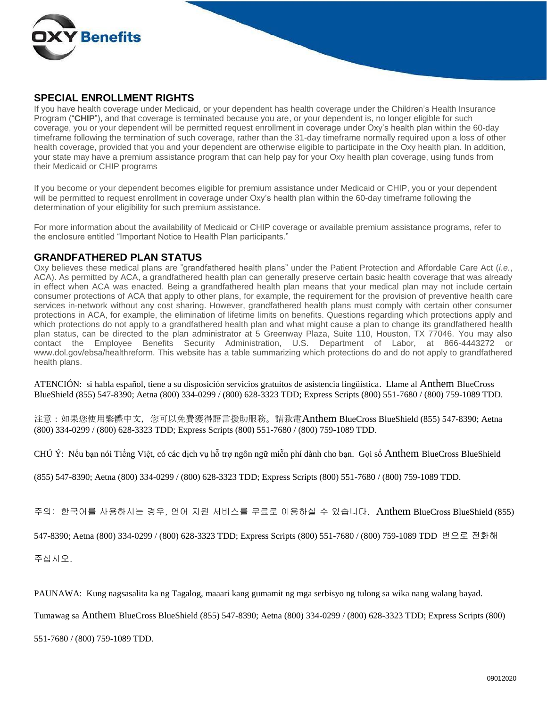

#### **SPECIAL ENROLLMENT RIGHTS**

If you have health coverage under Medicaid, or your dependent has health coverage under the Children's Health Insurance Program ("**CHIP**"), and that coverage is terminated because you are, or your dependent is, no longer eligible for such coverage, you or your dependent will be permitted request enrollment in coverage under Oxy's health plan within the 60-day timeframe following the termination of such coverage, rather than the 31-day timeframe normally required upon a loss of other health coverage, provided that you and your dependent are otherwise eligible to participate in the Oxy health plan. In addition, your state may have a premium assistance program that can help pay for your Oxy health plan coverage, using funds from their Medicaid or CHIP programs

If you become or your dependent becomes eligible for premium assistance under Medicaid or CHIP, you or your dependent will be permitted to request enrollment in coverage under Oxy's health plan within the 60-day timeframe following the determination of your eligibility for such premium assistance.

For more information about the availability of Medicaid or CHIP coverage or available premium assistance programs, refer to the enclosure entitled "Important Notice to Health Plan participants."

#### **GRANDFATHERED PLAN STATUS**

Oxy believes these medical plans are "grandfathered health plans" under the Patient Protection and Affordable Care Act (*i.e.*, ACA). As permitted by ACA, a grandfathered health plan can generally preserve certain basic health coverage that was already in effect when ACA was enacted. Being a grandfathered health plan means that your medical plan may not include certain consumer protections of ACA that apply to other plans, for example, the requirement for the provision of preventive health care services in-network without any cost sharing. However, grandfathered health plans must comply with certain other consumer protections in ACA, for example, the elimination of lifetime limits on benefits. Questions regarding which protections apply and which protections do not apply to a grandfathered health plan and what might cause a plan to change its grandfathered health plan status, can be directed to the plan administrator at 5 Greenway Plaza, Suite 110, Houston, TX 77046. You may also contact the Employee Benefits Security Administration, U.S. Department of Labor, at 866-4443272 or [www.dol.gov/ebsa/healthreform.](http://www.dol.gov/ebsa/healthreform) This website has a table summarizing which protections do and do not apply to grandfathered health plans.

ATENCIÓN: si habla español, tiene a su disposición servicios gratuitos de asistencia lingüística. Llame al Anthem BlueCross BlueShield (855) 547-8390; Aetna (800) 334-0299 / (800) 628-3323 TDD; Express Scripts (800) 551-7680 / (800) 759-1089 TDD.

注意:如果您使用繁體中文,您可以免費獲得語言援助服務。請致電Anthem BlueCross BlueShield (855) 547-8390; Aetna (800) 334-0299 / (800) 628-3323 TDD; Express Scripts (800) 551-7680 / (800) 759-1089 TDD.

CHÚ Ý: Nếu bạn nói Tiếng Việt, có các dịch vụ hỗ trợ ngôn ngữ miễn phí dành cho bạn. Gọi số Anthem BlueCross BlueShield

(855) 547-8390; Aetna (800) 334-0299 / (800) 628-3323 TDD; Express Scripts (800) 551-7680 / (800) 759-1089 TDD.

주의: 한국어를 사용하시는 경우, 언어 지원 서비스를 무료로 이용하실 수 있습니다. Anthem BlueCross BlueShield (855)

547-8390; Aetna (800) 334-0299 / (800) 628-3323 TDD; Express Scripts (800) 551-7680 / (800) 759-1089 TDD 번으로 전화해

주십시오.

PAUNAWA: Kung nagsasalita ka ng Tagalog, maaari kang gumamit ng mga serbisyo ng tulong sa wika nang walang bayad.

Tumawag sa Anthem BlueCross BlueShield (855) 547-8390; Aetna (800) 334-0299 / (800) 628-3323 TDD; Express Scripts (800)

551-7680 / (800) 759-1089 TDD.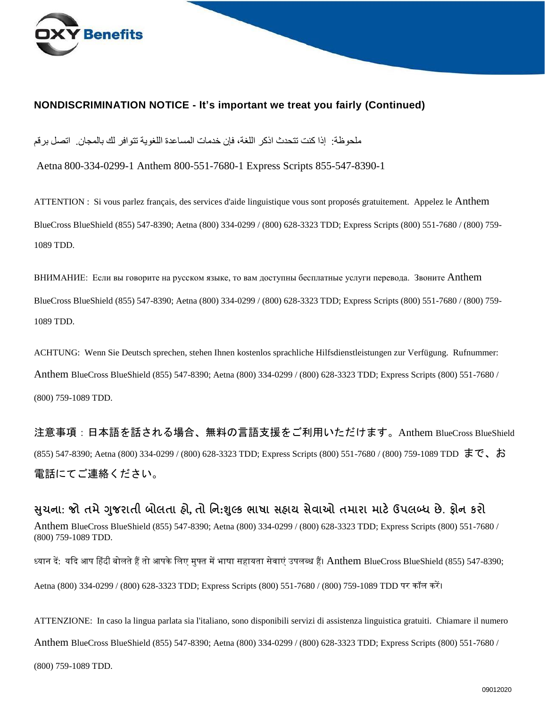

#### **NONDISCRIMINATION NOTICE - It's important we treat you fairly (Continued)**

ملحوظة: إذا كنت تتحدث اذكر اللغة، فإن خدمات المساعدة اللغوية تتوافر لك بالمجان. اتصل برقم

Aetna 800-334-0299-1 Anthem 800-551-7680-1 Express Scripts 855-547-8390-1

ATTENTION : Si vous parlez français, des services d'aide linguistique vous sont proposés gratuitement. Appelez le Anthem BlueCross BlueShield (855) 547-8390; Aetna (800) 334-0299 / (800) 628-3323 TDD; Express Scripts (800) 551-7680 / (800) 759- 1089 TDD.

ВНИМАНИЕ: Если вы говорите на русском языке, то вам доступны бесплатные услуги перевода. Звоните Anthem BlueCross BlueShield (855) 547-8390; Aetna (800) 334-0299 / (800) 628-3323 TDD; Express Scripts (800) 551-7680 / (800) 759- 1089 TDD.

ACHTUNG: Wenn Sie Deutsch sprechen, stehen Ihnen kostenlos sprachliche Hilfsdienstleistungen zur Verfügung. Rufnummer: Anthem BlueCross BlueShield (855) 547-8390; Aetna (800) 334-0299 / (800) 628-3323 TDD; Express Scripts (800) 551-7680 / (800) 759-1089 TDD.

注意事項:日本語を話される場合、無料の言語支援をご利用いただけます。Anthem BlueCross BlueShield (855) 547-8390; Aetna (800) 334-0299 / (800) 628-3323 TDD; Express Scripts (800) 551-7680 / (800) 759-1089 TDD まで、お 電話にてご連絡ください。

**સચુ ના: જો તમેગજુ રાતી બોલતા હો, તો નન:શલ્ુક ભાષા સહાય સેવાઓ તમારા માટેઉપલબ્ધ છે. ફોન કરો** Anthem BlueCross BlueShield (855) 547-8390; Aetna (800) 334-0299 / (800) 628-3323 TDD; Express Scripts (800) 551-7680 / (800) 759-1089 TDD.

ध्यान दें: यदद आप ह िंदी बोलतेहैंतो आपकेललए मुफ्त मेंभाषा सहायता सेवाएं उपलब्ध हैं। Anthem BlueCross BlueShield (855) 547-8390;

Aetna (800) 334-0299 / (800) 628-3323 TDD; Express Scripts (800) 551-7680 / (800) 759-1089 TDD पर कॉल करें।

ATTENZIONE: In caso la lingua parlata sia l'italiano, sono disponibili servizi di assistenza linguistica gratuiti. Chiamare il numero Anthem BlueCross BlueShield (855) 547-8390; Aetna (800) 334-0299 / (800) 628-3323 TDD; Express Scripts (800) 551-7680 / (800) 759-1089 TDD.